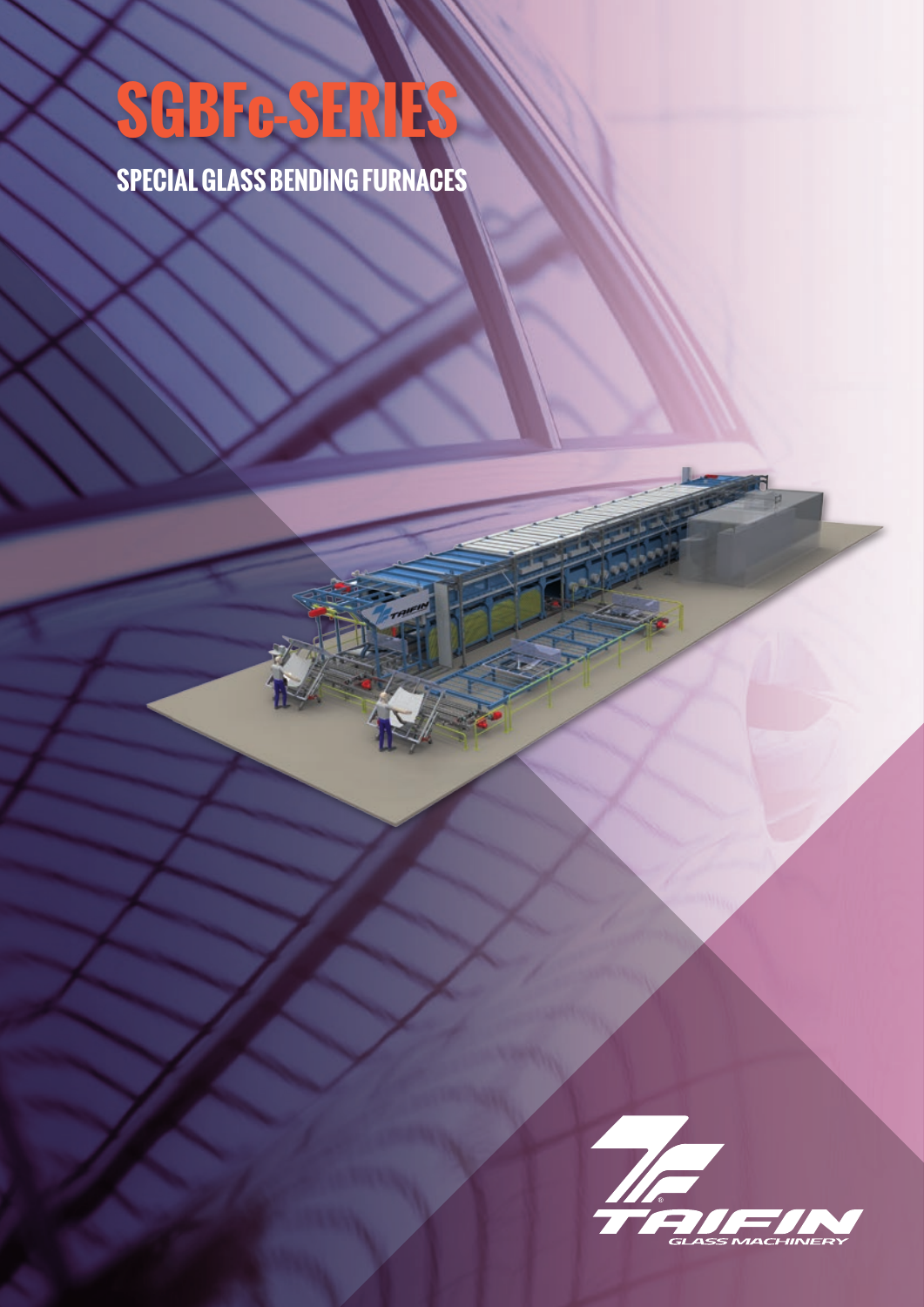## **SGBFc-SERIES**

**SPECIAL GLASS BENDING FURNACES**